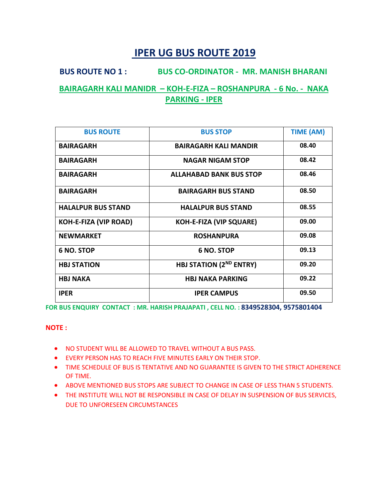# **BUS ROUTE NO 1 : BUS CO-ORDINATOR - MR. MANISH BHARANI BAIRAGARH KALI MANIDR – KOH-E-FIZA – ROSHANPURA - 6 No. - NAKA PARKING - IPER**

| <b>BUS ROUTE</b>             | <b>BUS STOP</b>                | <b>TIME (AM)</b> |
|------------------------------|--------------------------------|------------------|
| <b>BAIRAGARH</b>             | <b>BAIRAGARH KALI MANDIR</b>   | 08.40            |
| <b>BAIRAGARH</b>             | <b>NAGAR NIGAM STOP</b>        | 08.42            |
| <b>BAIRAGARH</b>             | <b>ALLAHABAD BANK BUS STOP</b> | 08.46            |
| <b>BAIRAGARH</b>             | <b>BAIRAGARH BUS STAND</b>     | 08.50            |
| <b>HALALPUR BUS STAND</b>    | <b>HALALPUR BUS STAND</b>      | 08.55            |
| <b>KOH-E-FIZA (VIP ROAD)</b> | <b>KOH-E-FIZA (VIP SQUARE)</b> | 09.00            |
| <b>NEWMARKET</b>             | <b>ROSHANPURA</b>              | 09.08            |
| 6 NO. STOP                   | 6 NO. STOP                     | 09.13            |
| <b>HBJ STATION</b>           | <b>HBJ STATION (2ND ENTRY)</b> | 09.20            |
| <b>HBJ NAKA</b>              | <b>HBJ NAKA PARKING</b>        | 09.22            |
| <b>IPER</b>                  | <b>IPER CAMPUS</b>             | 09.50            |

**FOR BUS ENQUIRY CONTACT : MR. HARISH PRAJAPATI , CELL NO. : 8349528304, 9575801404**

- NO STUDENT WILL BE ALLOWED TO TRAVEL WITHOUT A BUS PASS.
- EVERY PERSON HAS TO REACH FIVE MINUTES EARLY ON THEIR STOP.
- TIME SCHEDULE OF BUS IS TENTATIVE AND NO GUARANTEE IS GIVEN TO THE STRICT ADHERENCE OF TIME.
- ABOVE MENTIONED BUS STOPS ARE SUBJECT TO CHANGE IN CASE OF LESS THAN 5 STUDENTS.
- THE INSTITUTE WILL NOT BE RESPONSIBLE IN CASE OF DELAY IN SUSPENSION OF BUS SERVICES, DUE TO UNFORESEEN CIRCUMSTANCES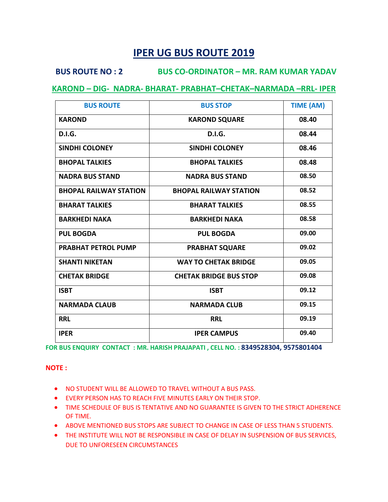### **BUS ROUTE NO : 2 BUS CO-ORDINATOR – MR. RAM KUMAR YADAV**

### **KAROND – DIG- NADRA- BHARAT- PRABHAT–CHETAK–NARMADA –RRL- IPER**

| <b>BUS ROUTE</b>              | <b>BUS STOP</b>               | <b>TIME (AM)</b> |
|-------------------------------|-------------------------------|------------------|
| <b>KAROND</b>                 | <b>KAROND SQUARE</b>          | 08.40            |
| <b>D.I.G.</b>                 | <b>D.I.G.</b>                 | 08.44            |
| <b>SINDHI COLONEY</b>         | <b>SINDHI COLONEY</b>         | 08.46            |
| <b>BHOPAL TALKIES</b>         | <b>BHOPAL TALKIES</b>         | 08.48            |
| <b>NADRA BUS STAND</b>        | <b>NADRA BUS STAND</b>        | 08.50            |
| <b>BHOPAL RAILWAY STATION</b> | <b>BHOPAL RAILWAY STATION</b> | 08.52            |
| <b>BHARAT TALKIES</b>         | <b>BHARAT TALKIES</b>         | 08.55            |
| <b>BARKHEDI NAKA</b>          | <b>BARKHEDI NAKA</b>          | 08.58            |
| <b>PUL BOGDA</b>              | <b>PUL BOGDA</b>              | 09.00            |
| <b>PRABHAT PETROL PUMP</b>    | <b>PRABHAT SQUARE</b>         | 09.02            |
| <b>SHANTI NIKETAN</b>         | <b>WAY TO CHETAK BRIDGE</b>   | 09.05            |
| <b>CHETAK BRIDGE</b>          | <b>CHETAK BRIDGE BUS STOP</b> | 09.08            |
| <b>ISBT</b>                   | <b>ISBT</b>                   | 09.12            |
| <b>NARMADA CLAUB</b>          | <b>NARMADA CLUB</b>           | 09.15            |
| <b>RRL</b>                    | <b>RRL</b>                    | 09.19            |
| <b>IPER</b>                   | <b>IPER CAMPUS</b>            | 09.40            |

**FOR BUS ENQUIRY CONTACT : MR. HARISH PRAJAPATI , CELL NO. : 8349528304, 9575801404**

- NO STUDENT WILL BE ALLOWED TO TRAVEL WITHOUT A BUS PASS.
- EVERY PERSON HAS TO REACH FIVE MINUTES EARLY ON THEIR STOP.
- TIME SCHEDULE OF BUS IS TENTATIVE AND NO GUARANTEE IS GIVEN TO THE STRICT ADHERENCE OF TIME.
- ABOVE MENTIONED BUS STOPS ARE SUBJECT TO CHANGE IN CASE OF LESS THAN 5 STUDENTS.
- THE INSTITUTE WILL NOT BE RESPONSIBLE IN CASE OF DELAY IN SUSPENSION OF BUS SERVICES, DUE TO UNFORESEEN CIRCUMSTANCES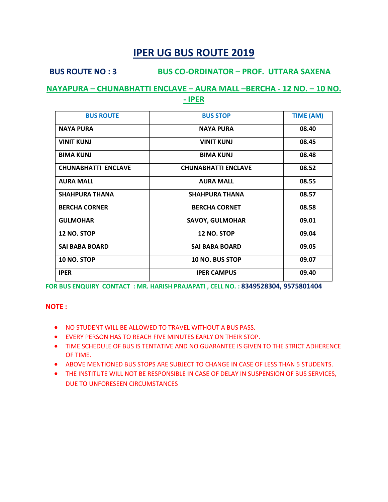### **BUS ROUTE NO : 3 BUS CO-ORDINATOR – PROF. UTTARA SAXENA**

### **NAYAPURA – CHUNABHATTI ENCLAVE – AURA MALL –BERCHA - 12 NO. – 10 NO. - IPER**

| <b>BUS ROUTE</b>           | <b>BUS STOP</b>            | <b>TIME (AM)</b> |
|----------------------------|----------------------------|------------------|
| <b>NAYA PURA</b>           | <b>NAYA PURA</b>           | 08.40            |
| <b>VINIT KUNJ</b>          | <b>VINIT KUNJ</b>          | 08.45            |
| <b>BIMA KUNJ</b>           | <b>BIMA KUNJ</b>           | 08.48            |
| <b>CHUNABHATTI ENCLAVE</b> | <b>CHUNABHATTI ENCLAVE</b> | 08.52            |
| <b>AURA MALL</b>           | <b>AURA MALL</b>           | 08.55            |
| <b>SHAHPURA THANA</b>      | <b>SHAHPURA THANA</b>      | 08.57            |
| <b>BERCHA CORNER</b>       | <b>BERCHA CORNET</b>       | 08.58            |
| <b>GULMOHAR</b>            | <b>SAVOY, GULMOHAR</b>     | 09.01            |
| <b>12 NO. STOP</b>         | <b>12 NO. STOP</b>         | 09.04            |
| <b>SAI BABA BOARD</b>      | <b>SAI BABA BOARD</b>      | 09.05            |
| <b>10 NO. STOP</b>         | 10 NO. BUS STOP            | 09.07            |
| <b>IPER</b>                | <b>IPER CAMPUS</b>         | 09.40            |

**FOR BUS ENQUIRY CONTACT : MR. HARISH PRAJAPATI , CELL NO. : 8349528304, 9575801404**

- NO STUDENT WILL BE ALLOWED TO TRAVEL WITHOUT A BUS PASS.
- EVERY PERSON HAS TO REACH FIVE MINUTES EARLY ON THEIR STOP.
- TIME SCHEDULE OF BUS IS TENTATIVE AND NO GUARANTEE IS GIVEN TO THE STRICT ADHERENCE OF TIME.
- ABOVE MENTIONED BUS STOPS ARE SUBJECT TO CHANGE IN CASE OF LESS THAN 5 STUDENTS.
- THE INSTITUTE WILL NOT BE RESPONSIBLE IN CASE OF DELAY IN SUSPENSION OF BUS SERVICES, DUE TO UNFORESEEN CIRCUMSTANCES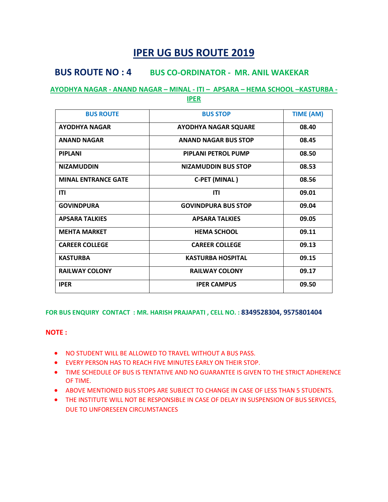## **BUS ROUTE NO : 4 BUS CO-ORDINATOR - MR. ANIL WAKEKAR**

# **AYODHYA NAGAR - ANAND NAGAR – MINAL - ITI – APSARA – HEMA SCHOOL –KASTURBA -**

**IPER**

| <b>BUS ROUTE</b>           | <b>BUS STOP</b>             | <b>TIME (AM)</b> |
|----------------------------|-----------------------------|------------------|
| <b>AYODHYA NAGAR</b>       | <b>AYODHYA NAGAR SQUARE</b> | 08.40            |
| <b>ANAND NAGAR</b>         | <b>ANAND NAGAR BUS STOP</b> | 08.45            |
| <b>PIPLANI</b>             | <b>PIPLANI PETROL PUMP</b>  | 08.50            |
| <b>NIZAMUDDIN</b>          | <b>NIZAMUDDIN BUS STOP</b>  | 08.53            |
| <b>MINAL ENTRANCE GATE</b> | <b>C-PET (MINAL)</b>        | 08.56            |
| <b>ITI</b>                 | <b>ITI</b>                  | 09.01            |
| <b>GOVINDPURA</b>          | <b>GOVINDPURA BUS STOP</b>  | 09.04            |
| <b>APSARA TALKIES</b>      | <b>APSARA TALKIES</b>       | 09.05            |
| <b>MEHTA MARKET</b>        | <b>HEMA SCHOOL</b>          | 09.11            |
| <b>CAREER COLLEGE</b>      | <b>CAREER COLLEGE</b>       | 09.13            |
| <b>KASTURBA</b>            | <b>KASTURBA HOSPITAL</b>    | 09.15            |
| <b>RAILWAY COLONY</b>      | <b>RAILWAY COLONY</b>       | 09.17            |
| <b>IPER</b>                | <b>IPER CAMPUS</b>          | 09.50            |

#### **FOR BUS ENQUIRY CONTACT : MR. HARISH PRAJAPATI , CELL NO. : 8349528304, 9575801404**

- NO STUDENT WILL BE ALLOWED TO TRAVEL WITHOUT A BUS PASS.
- EVERY PERSON HAS TO REACH FIVE MINUTES EARLY ON THEIR STOP.
- TIME SCHEDULE OF BUS IS TENTATIVE AND NO GUARANTEE IS GIVEN TO THE STRICT ADHERENCE OF TIME.
- ABOVE MENTIONED BUS STOPS ARE SUBJECT TO CHANGE IN CASE OF LESS THAN 5 STUDENTS.
- THE INSTITUTE WILL NOT BE RESPONSIBLE IN CASE OF DELAY IN SUSPENSION OF BUS SERVICES, DUE TO UNFORESEEN CIRCUMSTANCES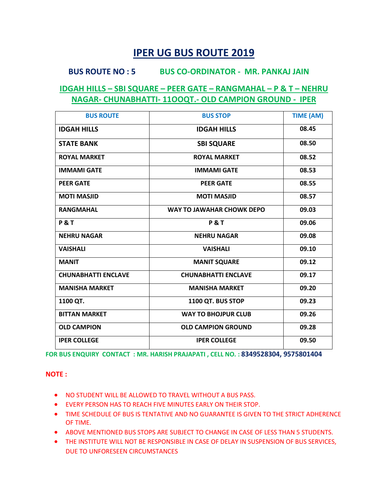### **BUS ROUTE NO : 5 BUS CO-ORDINATOR - MR. PANKAJ JAIN**

### **IDGAH HILLS – SBI SQUARE – PEER GATE – RANGMAHAL – P & T – NEHRU NAGAR- CHUNABHATTI- 11OOQT.- OLD CAMPION GROUND - IPER**

| <b>BUS ROUTE</b>           | <b>BUS STOP</b>            | <b>TIME (AM)</b> |
|----------------------------|----------------------------|------------------|
| <b>IDGAH HILLS</b>         | <b>IDGAH HILLS</b>         | 08.45            |
| <b>STATE BANK</b>          | <b>SBI SQUARE</b>          | 08.50            |
| <b>ROYAL MARKET</b>        | <b>ROYAL MARKET</b>        | 08.52            |
| <b>IMMAMI GATE</b>         | <b>IMMAMI GATE</b>         | 08.53            |
| <b>PEER GATE</b>           | <b>PEER GATE</b>           | 08.55            |
| <b>MOTI MASJID</b>         | <b>MOTI MASJID</b>         | 08.57            |
| <b>RANGMAHAL</b>           | WAY TO JAWAHAR CHOWK DEPO  | 09.03            |
| <b>P&amp;T</b>             | <b>P&amp;T</b>             | 09.06            |
| <b>NEHRU NAGAR</b>         | <b>NEHRU NAGAR</b>         | 09.08            |
| <b>VAISHALI</b>            | <b>VAISHALI</b>            | 09.10            |
| <b>MANIT</b>               | <b>MANIT SQUARE</b>        | 09.12            |
| <b>CHUNABHATTI ENCLAVE</b> | <b>CHUNABHATTI ENCLAVE</b> | 09.17            |
| <b>MANISHA MARKET</b>      | <b>MANISHA MARKET</b>      | 09.20            |
| 1100 QT.                   | 1100 QT. BUS STOP          | 09.23            |
| <b>BITTAN MARKET</b>       | <b>WAY TO BHOJPUR CLUB</b> | 09.26            |
| <b>OLD CAMPION</b>         | <b>OLD CAMPION GROUND</b>  | 09.28            |
| <b>IPER COLLEGE</b>        | <b>IPER COLLEGE</b>        | 09.50            |

**FOR BUS ENQUIRY CONTACT : MR. HARISH PRAJAPATI , CELL NO. : 8349528304, 9575801404**

- NO STUDENT WILL BE ALLOWED TO TRAVEL WITHOUT A BUS PASS.
- EVERY PERSON HAS TO REACH FIVE MINUTES EARLY ON THEIR STOP.
- TIME SCHEDULE OF BUS IS TENTATIVE AND NO GUARANTEE IS GIVEN TO THE STRICT ADHERENCE OF TIME.
- ABOVE MENTIONED BUS STOPS ARE SUBJECT TO CHANGE IN CASE OF LESS THAN 5 STUDENTS.
- THE INSTITUTE WILL NOT BE RESPONSIBLE IN CASE OF DELAY IN SUSPENSION OF BUS SERVICES, DUE TO UNFORESEEN CIRCUMSTANCES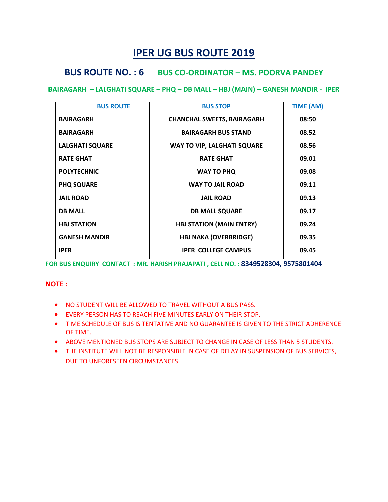# **BUS ROUTE NO. : 6 BUS CO-ORDINATOR – MS. POORVA PANDEY**

### **BAIRAGARH – LALGHATI SQUARE – PHQ – DB MALL – HBJ (MAIN) – GANESH MANDIR - IPER**

| <b>BUS ROUTE</b>       | <b>BUS STOP</b>                    | <b>TIME (AM)</b> |
|------------------------|------------------------------------|------------------|
| <b>BAIRAGARH</b>       | <b>CHANCHAL SWEETS, BAIRAGARH</b>  | 08:50            |
| <b>BAIRAGARH</b>       | <b>BAIRAGARH BUS STAND</b>         | 08.52            |
| <b>LALGHATI SQUARE</b> | <b>WAY TO VIP, LALGHATI SQUARE</b> | 08.56            |
| <b>RATE GHAT</b>       | <b>RATE GHAT</b>                   | 09.01            |
| <b>POLYTECHNIC</b>     | <b>WAY TO PHQ</b>                  | 09.08            |
| <b>PHQ SQUARE</b>      | <b>WAY TO JAIL ROAD</b>            | 09.11            |
| <b>JAIL ROAD</b>       | <b>JAIL ROAD</b>                   | 09.13            |
| <b>DB MALL</b>         | <b>DB MALL SQUARE</b>              | 09.17            |
| <b>HBJ STATION</b>     | <b>HBJ STATION (MAIN ENTRY)</b>    | 09.24            |
| <b>GANESH MANDIR</b>   | <b>HBJ NAKA (OVERBRIDGE)</b>       | 09.35            |
| <b>IPER</b>            | <b>IPER COLLEGE CAMPUS</b>         | 09.45            |

**FOR BUS ENQUIRY CONTACT : MR. HARISH PRAJAPATI , CELL NO. : 8349528304, 9575801404**

- NO STUDENT WILL BE ALLOWED TO TRAVEL WITHOUT A BUS PASS.
- EVERY PERSON HAS TO REACH FIVE MINUTES EARLY ON THEIR STOP.
- TIME SCHEDULE OF BUS IS TENTATIVE AND NO GUARANTEE IS GIVEN TO THE STRICT ADHERENCE OF TIME.
- ABOVE MENTIONED BUS STOPS ARE SUBJECT TO CHANGE IN CASE OF LESS THAN 5 STUDENTS.
- THE INSTITUTE WILL NOT BE RESPONSIBLE IN CASE OF DELAY IN SUSPENSION OF BUS SERVICES, DUE TO UNFORESEEN CIRCUMSTANCES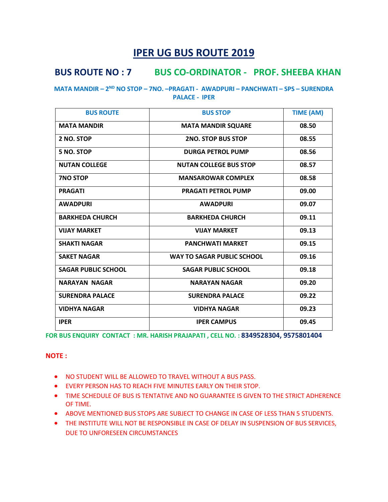# **BUS ROUTE NO : 7 BUS CO-ORDINATOR - PROF. SHEEBA KHAN**

#### **MATA MANDIR – 2 ND NO STOP – 7NO. –PRAGATI - AWADPURI – PANCHWATI – SPS – SURENDRA PALACE - IPER**

| <b>BUS ROUTE</b>           | <b>BUS STOP</b>                   | <b>TIME (AM)</b> |
|----------------------------|-----------------------------------|------------------|
| <b>MATA MANDIR</b>         | <b>MATA MANDIR SQUARE</b>         | 08.50            |
| 2 NO. STOP                 | <b>2NO. STOP BUS STOP</b>         | 08.55            |
| 5 NO. STOP                 | <b>DURGA PETROL PUMP</b>          | 08.56            |
| <b>NUTAN COLLEGE</b>       | <b>NUTAN COLLEGE BUS STOP</b>     | 08.57            |
| <b>7NO STOP</b>            | <b>MANSAROWAR COMPLEX</b>         | 08.58            |
| <b>PRAGATI</b>             | <b>PRAGATI PETROL PUMP</b>        | 09.00            |
| <b>AWADPURI</b>            | <b>AWADPURI</b>                   | 09.07            |
| <b>BARKHEDA CHURCH</b>     | <b>BARKHEDA CHURCH</b>            | 09.11            |
| <b>VIJAY MARKET</b>        | <b>VIJAY MARKET</b>               | 09.13            |
| <b>SHAKTI NAGAR</b>        | <b>PANCHWATI MARKET</b>           | 09.15            |
| <b>SAKET NAGAR</b>         | <b>WAY TO SAGAR PUBLIC SCHOOL</b> | 09.16            |
| <b>SAGAR PUBLIC SCHOOL</b> | <b>SAGAR PUBLIC SCHOOL</b>        | 09.18            |
| <b>NARAYAN NAGAR</b>       | <b>NARAYAN NAGAR</b>              | 09.20            |
| <b>SURENDRA PALACE</b>     | <b>SURENDRA PALACE</b>            | 09.22            |
| <b>VIDHYA NAGAR</b>        | <b>VIDHYA NAGAR</b>               | 09.23            |
| <b>IPER</b>                | <b>IPER CAMPUS</b>                | 09.45            |

**FOR BUS ENQUIRY CONTACT : MR. HARISH PRAJAPATI , CELL NO. : 8349528304, 9575801404**

- NO STUDENT WILL BE ALLOWED TO TRAVEL WITHOUT A BUS PASS.
- EVERY PERSON HAS TO REACH FIVE MINUTES EARLY ON THEIR STOP.
- TIME SCHEDULE OF BUS IS TENTATIVE AND NO GUARANTEE IS GIVEN TO THE STRICT ADHERENCE OF TIME.
- ABOVE MENTIONED BUS STOPS ARE SUBJECT TO CHANGE IN CASE OF LESS THAN 5 STUDENTS.
- THE INSTITUTE WILL NOT BE RESPONSIBLE IN CASE OF DELAY IN SUSPENSION OF BUS SERVICES, DUE TO UNFORESEEN CIRCUMSTANCES